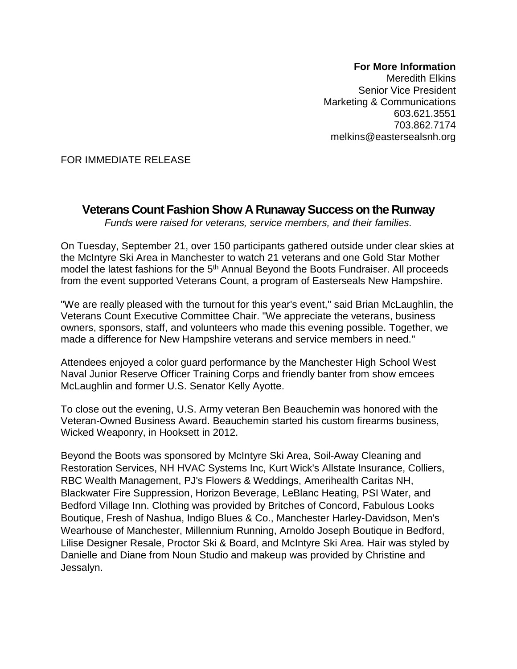## **For More Information**

Meredith Elkins Senior Vice President Marketing & Communications 603.621.3551 703.862.7174 melkins@eastersealsnh.org

FOR IMMEDIATE RELEASE

## **Veterans Count Fashion Show A Runaway Success on the Runway**

*Funds were raised for veterans, service members, and their families.* 

On Tuesday, September 21, over 150 participants gathered outside under clear skies at the McIntyre Ski Area in Manchester to watch 21 veterans and one Gold Star Mother model the latest fashions for the 5<sup>th</sup> Annual Beyond the Boots Fundraiser. All proceeds from the event supported Veterans Count, a program of Easterseals New Hampshire.

"We are really pleased with the turnout for this year's event," said Brian McLaughlin, the Veterans Count Executive Committee Chair. "We appreciate the veterans, business owners, sponsors, staff, and volunteers who made this evening possible. Together, we made a difference for New Hampshire veterans and service members in need."

Attendees enjoyed a color guard performance by the Manchester High School West Naval Junior Reserve Officer Training Corps and friendly banter from show emcees McLaughlin and former U.S. Senator Kelly Ayotte.

To close out the evening, U.S. Army veteran Ben Beauchemin was honored with the Veteran-Owned Business Award. Beauchemin started his custom firearms business, Wicked Weaponry, in Hooksett in 2012.

Beyond the Boots was sponsored by McIntyre Ski Area, Soil-Away Cleaning and Restoration Services, NH HVAC Systems Inc, Kurt Wick's Allstate Insurance, Colliers, RBC Wealth Management, PJ's Flowers & Weddings, Amerihealth Caritas NH, Blackwater Fire Suppression, Horizon Beverage, LeBlanc Heating, PSI Water, and Bedford Village Inn. Clothing was provided by Britches of Concord, Fabulous Looks Boutique, Fresh of Nashua, Indigo Blues & Co., Manchester Harley-Davidson, Men's Wearhouse of Manchester, Millennium Running, Arnoldo Joseph Boutique in Bedford, Lilise Designer Resale, Proctor Ski & Board, and McIntyre Ski Area. Hair was styled by Danielle and Diane from Noun Studio and makeup was provided by Christine and Jessalyn.